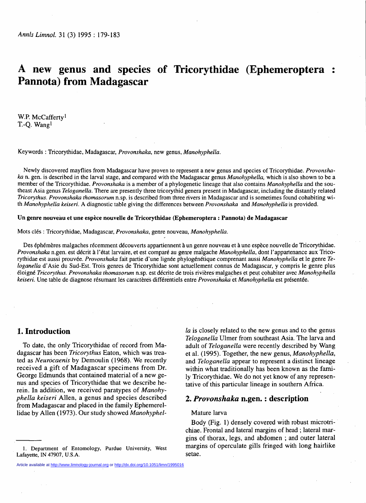# **A new genus and species of Tricorythidae (Ephemeroptera : Pannota) from Madagascar**

W.P. McCafferty<sup>1</sup> T.-Q. Wang<sup>1</sup>

**Keywords : Tricorythidae, Madagascar,** *Provonshaka,* **new genus,** *Manohyphella.* 

**Newly discovered mayflies from Madagascar have proven to represent a new genus and species of Tricorythidae.** *Provonshaka* **n. gen. is described in the larval stage, and compared with the Madagascar genus** *Manohyphella,* **which is also shown to be a member of the Tricorythidae.** *Provonshaka* **is a member of a phylogenetic lineage that also contains** *Manohyphella* **and the southeast Asia genus** *Teloganella.* **There are presently three tricorythid genera present in Madagascar, including the distantly related**  *Tricorythus. Provonshaka thomasorwn* **n.sp. is described from three rivers in Madagascar and is sometimes found cohabiting with** *Manohyphella keiseri.* **A diagnostic table giving the differences between** *Provonshaka* **and** *Manohyphella* **is provided.** 

### **Un genre nouveau et une espèce nouvelle de Tricorythidae (Ephemeroptera : Pannota) de Madagascar**

**Mots clés : Tricorythidae, Madagascar,** *Provonshaka,* **genre nouveau,** *Manohyphella.* 

**Des éphémères malgaches récemment découverts appartiennent à un genre nouveau et à une espèce nouvelle de Tricorythidae.**  *Provonshaka* **n.gen. est décrit à l'état larvaire, et est comparé au genre malgache** *Manohyphella,* **dont l'appartenance aux Tricorythidae est aussi prouvée.** *Provonshaka* **fait partie d'une lignée phylogénétique comprenant aussi** *Manohyphella* **et le genre** *Teloganella* **d'Asie du Sud-Est. Trois genres de Tricorythidae sont actuellement connus de Madagascar, y compris le genre plus éloigné** *Tricorythus. Provonshaka thomasorum* **n.sp. est décrite de trois rivières malgaches et peut cohabiter avec** *Manohyphella keiseri.* **Une table de diagnose résumant lés caractères différentiels entre** *Provonshaka* **et** *Manohyphella* **est présentée.** 

# **1. Introduction**

To date, the only Tricorythidae of record from Madagascar has been *Tricorythus* Eaton, which was treated as *Neurocaenis* by Demoulin (1968). We recently received a gift of Madagascar specimens from Dr. George Edmunds that contained material of a new genus and species of Tricorythidae that we describe herein. In addition, we received paratypes of *Manohyphella keiseri* Allen, a genus and species described from Madagascar and placed in the family Ephemerellidae by Allen (1973). Our study showed *Manohyphel-*

Article available at <http://www.limnology-journal.org>or<http://dx.doi.org/10.1051/limn/1995016>

*la* is closely related to the new genus and to the genus *Teloganella* Ulmer from southeast Asia. The larva and adult of *Teloganella* were recently described by Wang et al. (1995). Together, the new genus, *Manohyphella,*  and *Teloganella* appear to represent a distinct lineage within what traditionally has been known as the family Tricorythidae. We do not yet know of any representative of this particular lineage in southern Africa.

# **2.** *Provonshaka* **n.gen. : description**

#### Mature larva

Body (Fig. 1) densely covered with robust microtrichiae. Frontal and lateral margins of head ; lateral margins of thorax, legs, and abdomen ; and outer lateral margins of operculate gills fringed with long hairlike setae.

**<sup>1.</sup> Department of Entomology, Purdue University, West Lafayette, IN 47907, U.S.A.**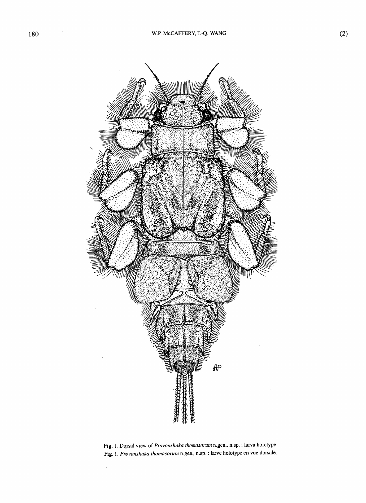

**Fig. 1. Dorsal view of** *Provonshaka thomasorum* **n.gen., n.sp. : larva holotype. Fig. 1.** *Provonshaka thomasorum* **n.gen., n.sp. : larve holotype en vue dorsale.** 

 $\bar{z}$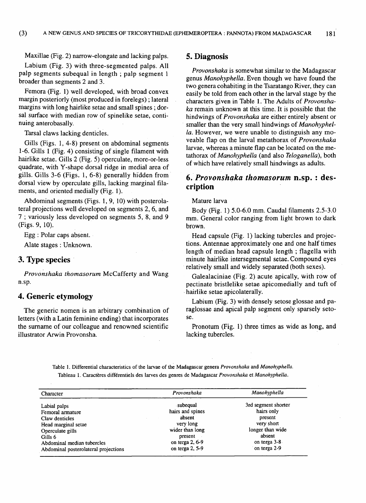Maxillae (Fig. 2) narrow-elongate and lacking palps.

Labium (Fig. 3) with three-segmented palps. All palp segments subequal in length ; palp segment 1 broader than segments 2 and 3.

Femora (Fig. 1) well developed, with broad convex margin posteriorly (most produced in forelegs) ; lateral margins with long hairlike setae and small spines ; dorsal surface with median row of spinelike setae, continuing anterobasally.

Tarsal claws lacking denticles.

Gills (Figs. 1, 4-8) present on abdominal segments 1-6. Gills 1 (Fig. 4) consisting of single filament with hairlike setae. Gills 2 (Fig. 5) operculate, more-or-less quadrate, with Y-shape dorsal ridge in medial area of gills. Gills 3-6 (Figs. 1, 6-8) generally hidden from dorsal view by operculate gills, lacking marginal filaments, and oriented medially (Fig. 1).

Abdominal segments (Figs. 1, 9, 10) with posterolateral projections well developed on segments 2, 6, and 7 ; variously less developed on segments 5, 8, and 9 (Figs. 9, 10).

Egg : Polar caps absent.

Alate stages : Unknown.

# **3. TVpe species**

*Provonshaka thomasorum* McCafferty and Wang n.sp.

# **4. Generic etymology**

The generic nomen is an arbitrary combination of letters (with a Latin feminine ending) that incorporates the surname of our colleague and renowned scientific illustrator Arwin Provonsha.

# **5. Diagnosis**

*Provonshaka* is somewhat similar to the Madagascar genus *Manohyphella.* Even though we have found the two genera cohabiting in the Tsaratango River, they can easily be told from each other in the larval stage by the characters given in Table 1. The Adults of *Provonshaka* remain unknown at this time. It is possible that the hindwings of *Provonshaka* are either entirely absent or smaller than the very small hindwings of *Manohyphella.* However, we were unable to distinguish any moveable flap on the larval metathorax of *Provonshaka*  larvae, whereas a minute flap can be located on the metathorax of *Manohyphella* (and also *Teloganella),* both of which have relatively small hindwings as adults.

# **6.** *Provonshaka thomasorum* **n.sp. : description**

Mature larva

Body (Fig. 1) 5.0-6.0 mm. Caudal filaments 2.5-3.0 mm. General color ranging from light brown to dark brown.

Head capsule (Fig. 1) lacking tubercles and projections. Antennae approximately one and one half times length of median head capsule length ; flagella with minute hairlike intersegmental setae. Compound eyes relatively small and widely separated (both sexes).

Galealaciniae (Fig. 2) acute apically, with row of pectinate bristlelike setae apicomedially and tuft of hairlike setae apicolaterally.

Labium (Fig. 3) with densely setose glossae and paraglossae and apical palp segment only sparsely setose.

Pronotum (Fig. 1) three times as wide as long, and lacking tubercles.

**Table 1. Differential characteristics of the larvae of the Madagascar genera** *Provonshaka* **and** *Manohyphella.*  **Tableau 1. Caractères différentiels des larves des genres de Madagascar** *Provonshaka* **et** *Manohyphella.* 

| Character                            | Provonshaka      | Manohyphella        |
|--------------------------------------|------------------|---------------------|
| Labial palps                         | subequal         | 3rd segment shorter |
| Femoral armature                     | hairs and spines | hairs only          |
| Claw denticles                       | absent           | present             |
| Head marginal setae                  | very long        | very short          |
| Operculate gills                     | wider than long  | longer than wide    |
| Gills 6                              | present          | absent              |
| Abdominal median tubercles           | on terga 2, 6-9  | on terga 3-8        |
| Abdominal posterolateral projections | on terga 2, 5-9  | on terga 2-9        |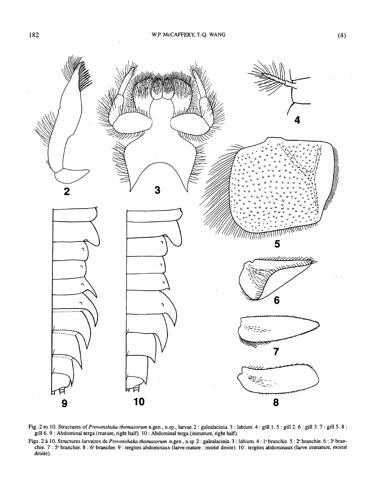

**Fig. 2 to 10. Structures of** *Provonshaka ihomasorum* **n.gen., n.sp., larvae. 2 : galealacinia. 3 : labium. 4 : gill 1. 5 : gill 2. 6 : gill 3. 7 : gill 5. 8 : gill 6. 9 : Abdominal terga (mature, right half). 10 : Abdominal terga (immature, right half).** 

**Figs. 2 à 10. Structures larvaires de** *Provonshaka thomasorum* **n.gen., n.sp. 2 : galealacinia. 3 : labium. 4 : I <sup>e</sup> branchie. 5 :***2"* **branchie. 6 :** *3'* **branchie. 7 : 5' branchie. 8 : 6' branchie. 9 : tergites abdominaux (larve mature : moitié droite). 10 : tergites abdominaux (larve immature, moitié droite).**